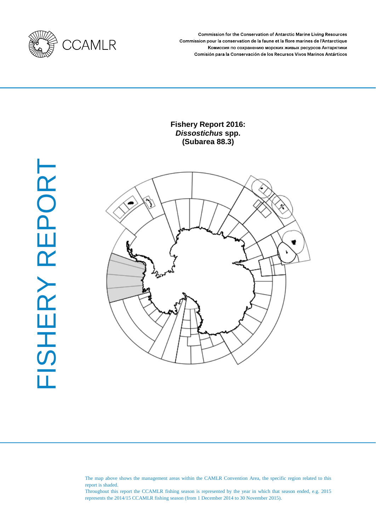

Commission for the Conservation of Antarctic Marine Living Resources Commission pour la conservation de la faune et la flore marines de l'Antarctique Комиссия по сохранению морских живых ресурсов Антарктики Comisión para la Conservación de los Recursos Vivos Marinos Antárticos

# **Fishery Report 2016:** *Dissostichus* **spp. (Subarea 88.3)**



The map above shows the management areas within the CAMLR Convention Area, the specific region related to this report is shaded.

Throughout this report the CCAMLR fishing season is represented by the year in which that season ended, e.g. 2015 represents the 2014/15 CCAMLR fishing season (from 1 December 2014 to 30 November 2015).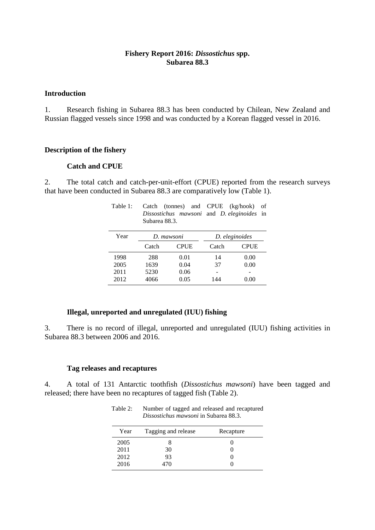## **Fishery Report 2016:** *Dissostichus* **spp. Subarea 88.3**

#### **Introduction**

1. Research fishing in Subarea 88.3 has been conducted by Chilean, New Zealand and Russian flagged vessels since 1998 and was conducted by a Korean flagged vessel in 2016.

#### **Description of the fishery**

#### **Catch and CPUE**

2. The total catch and catch-per-unit-effort (CPUE) reported from the research surveys that have been conducted in Subarea 88.3 are comparatively low (Table 1).

Table 1: Catch (tonnes) and CPUE (kg/hook) of

|      | Subarea 88.3. | Dissostichus mawsoni and D. eleginoides in |                |             |
|------|---------------|--------------------------------------------|----------------|-------------|
| Year | D. mawsoni    |                                            | D. eleginoides |             |
|      | Catch         | <b>CPUE</b>                                | Catch          | <b>CPUE</b> |
| 1998 | 288           | 0.01                                       | 14             | 0.00        |
| 2005 | 1639          | 0.04                                       | 37             | 0.00        |
| 2011 | 5230          | 0.06                                       |                |             |
| 2012 | 4066          | 0.05                                       | 144            | 0.00        |

## **Illegal, unreported and unregulated (IUU) fishing**

3. There is no record of illegal, unreported and unregulated (IUU) fishing activities in Subarea 88.3 between 2006 and 2016.

#### **Tag releases and recaptures**

4. A total of 131 Antarctic toothfish (*Dissostichus mawsoni*) have been tagged and released; there have been no recaptures of tagged fish (Table 2).

Table 2: Number of tagged and released and recaptured

| Dissostichus mawsoni in Subarea 88.3. |                     |           |  |  |  |
|---------------------------------------|---------------------|-----------|--|--|--|
| Year                                  | Tagging and release | Recapture |  |  |  |
| 2005                                  |                     |           |  |  |  |
| 2011                                  | 30                  |           |  |  |  |
| 2012                                  | 93                  |           |  |  |  |
| 2016                                  | 470                 |           |  |  |  |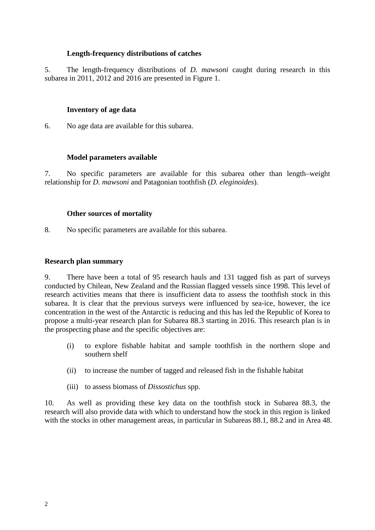# **Length-frequency distributions of catches**

5. The length-frequency distributions of *D. mawsoni* caught during research in this subarea in 2011, 2012 and 2016 are presented in Figure 1.

## **Inventory of age data**

6. No age data are available for this subarea.

# **Model parameters available**

7. No specific parameters are available for this subarea other than length–weight relationship for *D. mawsoni* and Patagonian toothfish (*D. eleginoides*).

## **Other sources of mortality**

8. No specific parameters are available for this subarea.

## **Research plan summary**

9. There have been a total of 95 research hauls and 131 tagged fish as part of surveys conducted by Chilean, New Zealand and the Russian flagged vessels since 1998. This level of research activities means that there is insufficient data to assess the toothfish stock in this subarea. It is clear that the previous surveys were influenced by sea-ice, however, the ice concentration in the west of the Antarctic is reducing and this has led the Republic of Korea to propose a multi-year research plan for Subarea 88.3 starting in 2016. This research plan is in the prospecting phase and the specific objectives are:

- (i) to explore fishable habitat and sample toothfish in the northern slope and southern shelf
- (ii) to increase the number of tagged and released fish in the fishable habitat
- (iii) to assess biomass of *Dissostichus* spp.

10. As well as providing these key data on the toothfish stock in Subarea 88.3, the research will also provide data with which to understand how the stock in this region is linked with the stocks in other management areas, in particular in Subareas 88.1, 88.2 and in Area 48.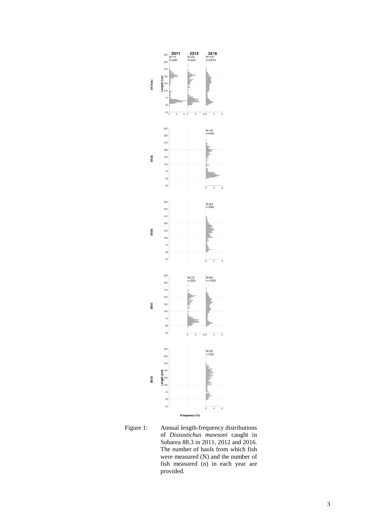

Figure 1: Annual length-frequency distributions of *Dissostichus mawsoni* caught in Subarea 88.3 in 2011, 2012 and 2016. The number of hauls from which fish were measured (N) and the number of fish measured (n) in each year are provided.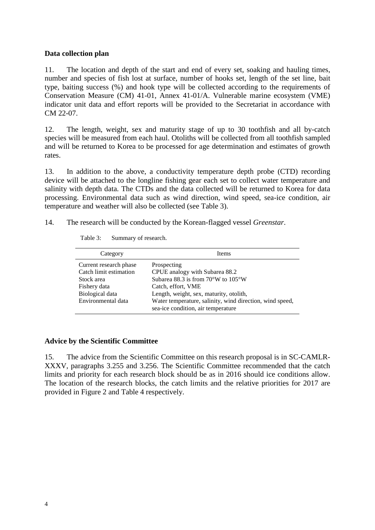## **Data collection plan**

11. The location and depth of the start and end of every set, soaking and hauling times, number and species of fish lost at surface, number of hooks set, length of the set line, bait type, baiting success (%) and hook type will be collected according to the requirements of Conservation Measure (CM) 41-01, Annex 41-01/A. Vulnerable marine ecosystem (VME) indicator unit data and effort reports will be provided to the Secretariat in accordance with CM 22-07.

12. The length, weight, sex and maturity stage of up to 30 toothfish and all by-catch species will be measured from each haul. Otoliths will be collected from all toothfish sampled and will be returned to Korea to be processed for age determination and estimates of growth rates.

13. In addition to the above, a conductivity temperature depth probe (CTD) recording device will be attached to the longline fishing gear each set to collect water temperature and salinity with depth data. The CTDs and the data collected will be returned to Korea for data processing. Environmental data such as wind direction, wind speed, sea-ice condition, air temperature and weather will also be collected (see Table 3).

14. The research will be conducted by the Korean-flagged vessel *Greenstar*.

| Category                                                                       | <b>Items</b>                                                                                                                              |  |
|--------------------------------------------------------------------------------|-------------------------------------------------------------------------------------------------------------------------------------------|--|
| Current research phase<br>Catch limit estimation<br>Stock area<br>Fishery data | Prospecting<br>CPUE analogy with Subarea 88.2<br>Subarea 88.3 is from $70^{\circ}$ W to $105^{\circ}$ W<br>Catch, effort, VME             |  |
| Biological data<br>Environmental data                                          | Length, weight, sex, maturity, otolith,<br>Water temperature, salinity, wind direction, wind speed,<br>sea-ice condition, air temperature |  |

## **Advice by the Scientific Committee**

15. The advice from the Scientific Committee on this research proposal is in SC-CAMLR-XXXV, paragraphs 3.255 and 3.256. The Scientific Committee recommended that the catch limits and priority for each research block should be as in 2016 should ice conditions allow. The location of the research blocks, the catch limits and the relative priorities for 2017 are provided in Figure 2 and Table 4 respectively.